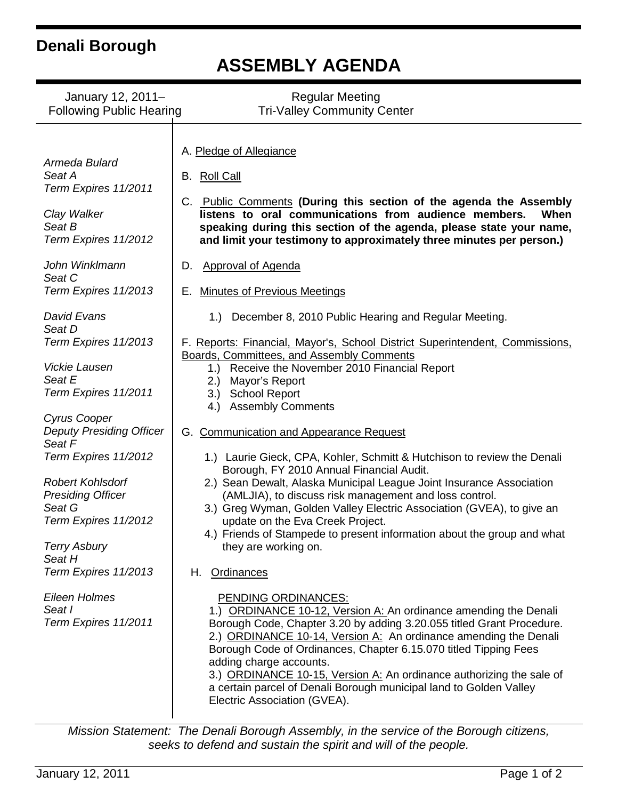## **Denali Borough**

# **ASSEMBLY AGENDA**

| January 12, 2011-<br><b>Regular Meeting</b><br><b>Following Public Hearing</b><br><b>Tri-Valley Community Center</b>                                                                                        |                                                                                                                                                                                                                                                                                                                                                                                                                                                                                                                                                     |
|-------------------------------------------------------------------------------------------------------------------------------------------------------------------------------------------------------------|-----------------------------------------------------------------------------------------------------------------------------------------------------------------------------------------------------------------------------------------------------------------------------------------------------------------------------------------------------------------------------------------------------------------------------------------------------------------------------------------------------------------------------------------------------|
| Armeda Bulard<br>Seat A<br>Term Expires 11/2011<br>Clay Walker<br>Seat B<br>Term Expires 11/2012                                                                                                            | A. Pledge of Allegiance<br>B. Roll Call<br>C. Public Comments (During this section of the agenda the Assembly<br>listens to oral communications from audience members.<br>When<br>speaking during this section of the agenda, please state your name,<br>and limit your testimony to approximately three minutes per person.)                                                                                                                                                                                                                       |
| John Winklmann<br>Seat C<br>Term Expires 11/2013                                                                                                                                                            | <b>Approval of Agenda</b><br>D.<br><b>Minutes of Previous Meetings</b><br>Е.                                                                                                                                                                                                                                                                                                                                                                                                                                                                        |
| David Evans<br>Seat D<br>Term Expires 11/2013<br><b>Vickie Lausen</b><br>Seat E<br>Term Expires 11/2011                                                                                                     | December 8, 2010 Public Hearing and Regular Meeting.<br>1.)<br>F. Reports: Financial, Mayor's, School District Superintendent, Commissions,<br>Boards, Committees, and Assembly Comments<br>Receive the November 2010 Financial Report<br>1.)<br>Mayor's Report<br>2.)<br><b>School Report</b><br>3.)                                                                                                                                                                                                                                               |
| Cyrus Cooper<br><b>Deputy Presiding Officer</b><br>Seat F<br>Term Expires 11/2012<br><b>Robert Kohlsdorf</b><br><b>Presiding Officer</b><br>Seat G<br>Term Expires 11/2012<br><b>Terry Asbury</b><br>Seat H | <b>Assembly Comments</b><br>4.)<br>G. Communication and Appearance Request<br>1.) Laurie Gieck, CPA, Kohler, Schmitt & Hutchison to review the Denali<br>Borough, FY 2010 Annual Financial Audit.<br>2.) Sean Dewalt, Alaska Municipal League Joint Insurance Association<br>(AMLJIA), to discuss risk management and loss control.<br>3.) Greg Wyman, Golden Valley Electric Association (GVEA), to give an<br>update on the Eva Creek Project.<br>4.) Friends of Stampede to present information about the group and what<br>they are working on. |
| Term Expires 11/2013<br>Eileen Holmes<br>Seat I<br>Term Expires 11/2011                                                                                                                                     | H. Ordinances<br>PENDING ORDINANCES:<br>1.) ORDINANCE 10-12, Version A: An ordinance amending the Denali<br>Borough Code, Chapter 3.20 by adding 3.20.055 titled Grant Procedure.<br>2.) ORDINANCE 10-14, Version A: An ordinance amending the Denali<br>Borough Code of Ordinances, Chapter 6.15.070 titled Tipping Fees<br>adding charge accounts.<br>3.) ORDINANCE 10-15, Version A: An ordinance authorizing the sale of<br>a certain parcel of Denali Borough municipal land to Golden Valley<br>Electric Association (GVEA).                  |

*Mission Statement: The Denali Borough Assembly, in the service of the Borough citizens, seeks to defend and sustain the spirit and will of the people.*